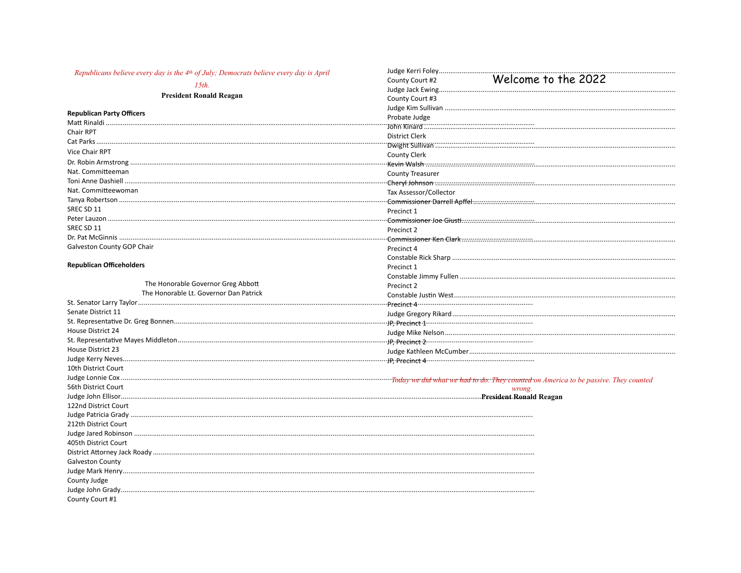| Republicans believe every day is the 4th of July; Democrats believe every day is April | Judge Kerri Foley<br>Welcome to the 2022<br>County Court #2 |
|----------------------------------------------------------------------------------------|-------------------------------------------------------------|
| $15th$ .                                                                               |                                                             |
| <b>President Ronald Reagan</b>                                                         | County Court #3                                             |
|                                                                                        |                                                             |
| <b>Republican Party Officers</b>                                                       | Probate Judge                                               |
|                                                                                        |                                                             |
| Chair RPT                                                                              | <b>District Clerk</b>                                       |
|                                                                                        |                                                             |
| <b>Vice Chair RPT</b>                                                                  | <b>County Clerk</b>                                         |
|                                                                                        |                                                             |
| Nat. Committeeman                                                                      | <b>County Treasurer</b>                                     |
|                                                                                        |                                                             |
| Nat. Committeewoman                                                                    | Tax Assessor/Collector                                      |
|                                                                                        |                                                             |
| SREC SD 11                                                                             | Precinct 1                                                  |
|                                                                                        |                                                             |
| SREC SD 11                                                                             | Precinct 2                                                  |
|                                                                                        |                                                             |
| Galveston County GOP Chair                                                             | Precinct 4                                                  |
|                                                                                        |                                                             |
| <b>Republican Officeholders</b>                                                        | Precinct 1                                                  |
|                                                                                        |                                                             |
| The Honorable Governor Greg Abbott                                                     | Precinct 2                                                  |
| The Honorable Lt. Governor Dan Patrick                                                 |                                                             |
|                                                                                        |                                                             |
| Senate District 11                                                                     |                                                             |
|                                                                                        |                                                             |
| House District 24                                                                      |                                                             |
|                                                                                        |                                                             |
| House District 23                                                                      |                                                             |
|                                                                                        |                                                             |
| 10th District Court                                                                    |                                                             |
|                                                                                        |                                                             |
| 56th District Court                                                                    | wrong.                                                      |
|                                                                                        |                                                             |
| 122nd District Court                                                                   |                                                             |
|                                                                                        |                                                             |
| 212th District Court                                                                   |                                                             |
|                                                                                        |                                                             |
| 405th District Court                                                                   |                                                             |
|                                                                                        |                                                             |
| Galveston County                                                                       |                                                             |
|                                                                                        |                                                             |
| County Judge                                                                           |                                                             |
|                                                                                        |                                                             |
| County Court #1                                                                        |                                                             |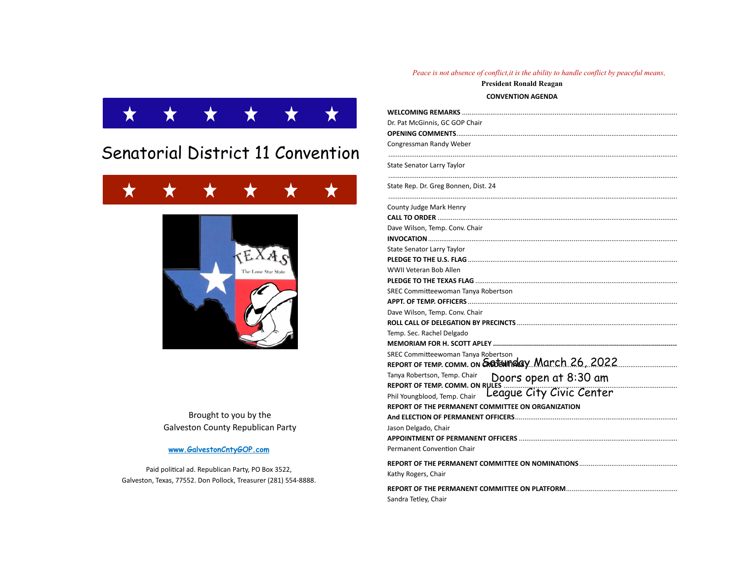# Senatorial District 11 Convention





Brought to you by the **Galveston County Republican Party** 

### www.GalvestonCntyGOP.com

Paid political ad. Republican Party, PO Box 3522, Galveston, Texas, 77552. Don Pollock, Treasurer (281) 554-8888.

#### Peace is not absence of conflict, it is the ability to handle conflict by peaceful means.

**President Ronald Reagan CONVENTION AGENDA** 

Dr. Pat McGinnis, GC GOP Chair Congressman Randy Weber State Senator Larry Taylor ........ State Rep. Dr. Greg Bonnen, Dist. 24 County Judge Mark Henry Dave Wilson, Temp. Conv. Chair State Senator Larry Taylor WWII Veteran Bob Allen SREC Committeewoman Tanya Robertson **APPT. OF TEMP. OFFICERS.** Dave Wilson, Temp, Conv. Chair Temp. Sec. Rachel Delgado SREC Committeewoman Tanya Robertson REPORT OF TEMP. COMM. ON GREEFWINGLEY March 26 2022 Tanya Robertson, Temp. Chair Doors open at 8:30 am REPORT OF TEMP. COMM. ON RULES ... League City Civic Center Phil Youngblood, Temp. Chair REPORT OF THE PERMANENT COMMITTEE ON ORGANIZATION Jason Delgado, Chair **Permanent Convention Chair** REPORT OF THE PERMANENT COMMITTEE ON NOMINATIONS......................... Kathy Rogers, Chair Sandra Tetley, Chair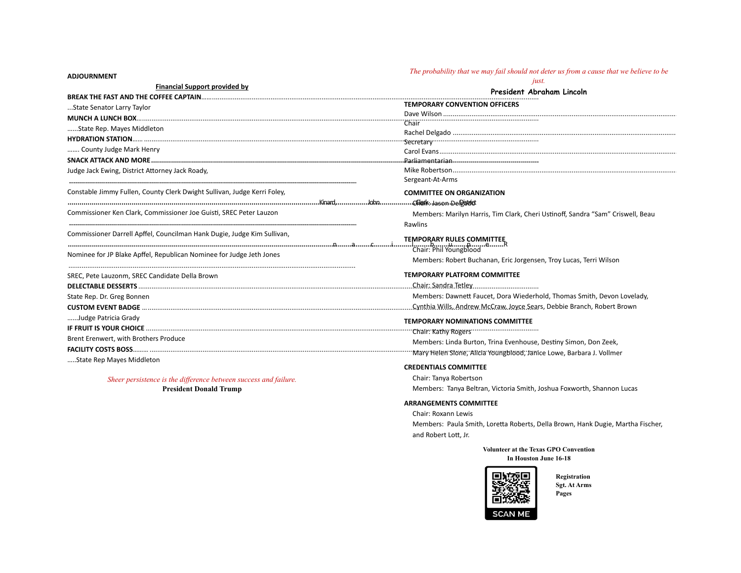**ADJOURNMENT** 

## *[The probability that we may fail should not deter us from a cause that we believe to be](http://www.quotationspage.com/quote/33739.html)*

*[just.](http://www.quotationspage.com/quote/33739.html)*

| <b>Financial Support provided by</b>                                     | President Abraham Lincoln                                                       |
|--------------------------------------------------------------------------|---------------------------------------------------------------------------------|
|                                                                          | <b>TEMPORARY CONVENTION OFFICERS</b>                                            |
| State Senator Larry Taylor                                               |                                                                                 |
|                                                                          |                                                                                 |
| State Rep. Mayes Middleton                                               |                                                                                 |
|                                                                          |                                                                                 |
| County Judge Mark Henry                                                  |                                                                                 |
|                                                                          |                                                                                 |
| Judge Jack Ewing, District Attorney Jack Roady,                          |                                                                                 |
|                                                                          | Sergeant-At-Arms                                                                |
| Constable Jimmy Fullen, County Clerk Dwight Sullivan, Judge Kerri Foley, | <b>COMMITTEE ON ORGANIZATION</b>                                                |
|                                                                          |                                                                                 |
| Commissioner Ken Clark, Commissioner Joe Guisti, SREC Peter Lauzon       | Members: Marilyn Harris, Tim Clark, Cheri Ustinoff, Sandra "Sam" Criswell, Beau |
|                                                                          | Rawlins                                                                         |
| Commissioner Darrell Apffel, Councilman Hank Dugie, Judge Kim Sullivan,  | <b>TEMPORARY RULES COMMITTEE</b>                                                |
| Nominee for JP Blake Apffel, Republican Nominee for Judge Jeth Jones     | .lbupeR<br>Chair: Phil Youngblood                                               |
|                                                                          | Members: Robert Buchanan, Eric Jorgensen, Troy Lucas, Terri Wilson              |
| SREC, Pete Lauzonm, SREC Candidate Della Brown                           | TEMPORARY PLATFORM COMMITTEE                                                    |
|                                                                          |                                                                                 |
| State Rep. Dr. Greg Bonnen                                               | Members: Dawnett Faucet, Dora Wiederhold, Thomas Smith, Devon Lovelady,         |
|                                                                          |                                                                                 |
| Judge Patricia Grady                                                     | <b>TEMPORARY NOMINATIONS COMMITTEE</b>                                          |
|                                                                          | "Chair: Kathy Rogers""""""""""""""""""""""""                                    |
| Brent Erenwert, with Brothers Produce                                    | Members: Linda Burton, Trina Evenhouse, Destiny Simon, Don Zeek,                |
|                                                                          | "Mary Helen Slone, Alicia Youngblood, Janice Lowe, Barbara J. Vollmer           |
| State Rep Mayes Middleton                                                |                                                                                 |
|                                                                          | <b>CREDENTIALS COMMITTEE</b>                                                    |
| Sheer persistence is the difference between success and failure.         | Chair: Tanya Robertson                                                          |
| <b>President Donald Trump</b>                                            | Members: Tanya Beltran, Victoria Smith, Joshua Foxworth, Shannon Lucas          |
|                                                                          | <b>ARRANGEMENTS COMMITTEE</b>                                                   |
|                                                                          | Chair: Roxann Lewis                                                             |
|                                                                          | Members: Paula Smith, Loretta Roberts, Della Brown, Hank Dugie, Martha Fischer, |
|                                                                          | and Robert Lott, Jr.                                                            |
|                                                                          | <b>Volunteer at the Texas GPO Convention</b>                                    |
|                                                                          | In Houston June 16-18                                                           |



 **Registration Sgt. At Arms Pages**